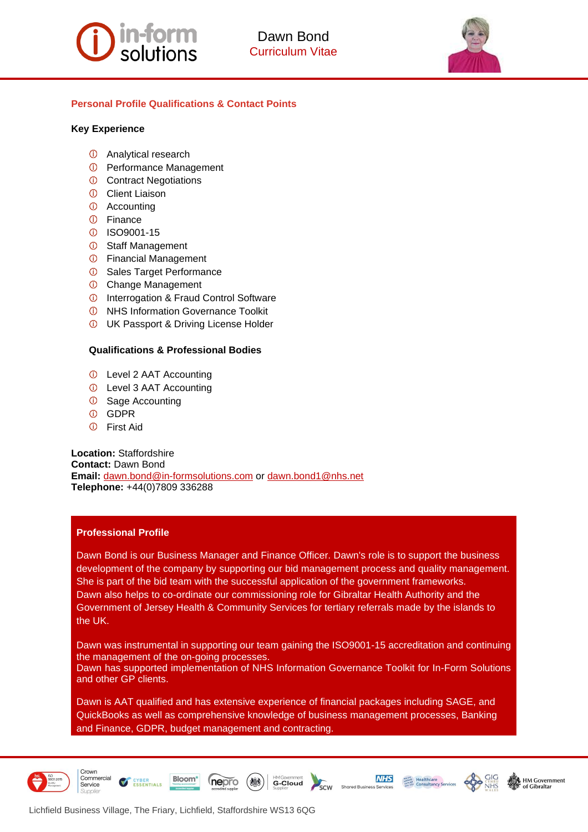



# **Personal Profile Qualifications & Contact Points**

#### **Key Experience**

- Analytical research
- *O* Performance Management
- *C* Contract Negotiations
- *O* Client Liaison
- Accounting
- Finance
- ISO9001-15
- Staff Management
- Financial Management
- **1** Sales Target Performance
- Change Management
- *ID* Interrogation & Fraud Control Software
- NHS Information Governance Toolkit
- **UK Passport & Driving License Holder**

# **Qualifications & Professional Bodies**

- Level 2 AAT Accounting
- Level 3 AAT Accounting
- Sage Accounting
- GDPR
- First Aid

**Location:** Staffordshire **Contact:** Dawn Bond **Email:** [dawn.bond@in-formsolutions.com](mailto:dawn.bond@in-formsolutions.com) or [dawn.bond1@nhs.net](mailto:dawn.bond1@nhs.net) **Telephone:** +44(0)7809 336288

# **Professional Profile**

Dawn Bond is our Business Manager and Finance Officer. Dawn's role is to support the business development of the company by supporting our bid management process and quality management. She is part of the bid team with the successful application of the government frameworks. Dawn also helps to co-ordinate our commissioning role for Gibraltar Health Authority and the Government of Jersey Health & Community Services for tertiary referrals made by the islands to the UK.

Dawn was instrumental in supporting our team gaining the ISO9001-15 accreditation and continuing the management of the on-going processes.

Dawn has supported implementation of NHS Information Governance Toolkit for In-Form Solutions and other GP clients.

Dawn is AAT qualified and has extensive experience of financial packages including SAGE, and QuickBooks as well as comprehensive knowledge of business management processes, Banking and Finance, GDPR, budget management and contracting.

G-Cloud

scw Sha **NHS** 

**March Healthcare**<br> **March Healthcare**<br> **Consultancy Service** 

HM Government



Crown Commercial

Service



**ESSENTIALS** 

**Bloom** 

nepro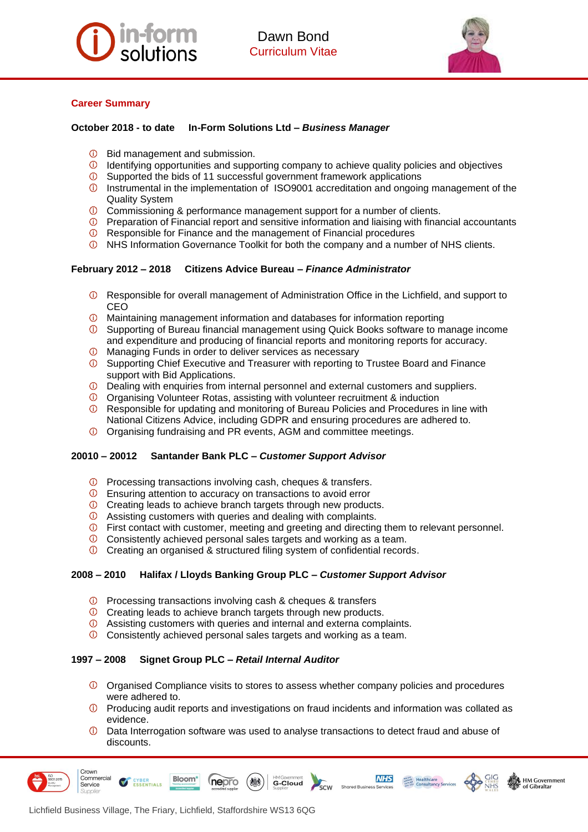

Dawn Bond Curriculum Vitae



# **Career Summary**

# **October 2018 - to date In-Form Solutions Ltd –** *Business Manager*

- $\circ$ Bid management and submission.
- $\circledcirc$ Identifying opportunities and supporting company to achieve quality policies and objectives
- Supported the bids of 11 successful government framework applications
- **1** Instrumental in the implementation of ISO9001 accreditation and ongoing management of the Quality System
- Commissioning & performance management support for a number of clients.
- $\overline{0}$  Preparation of Financial report and sensitive information and liaising with financial accountants
- Responsible for Finance and the management of Financial procedures
- NHS Information Governance Toolkit for both the company and a number of NHS clients.

# **February 2012 – 2018 Citizens Advice Bureau –** *Finance Administrator*

- Responsible for overall management of Administration Office in the Lichfield, and support to CEO
- Maintaining management information and databases for information reporting
- Supporting of Bureau financial management using Quick Books software to manage income and expenditure and producing of financial reports and monitoring reports for accuracy.
- Managing Funds in order to deliver services as necessary
- Supporting Chief Executive and Treasurer with reporting to Trustee Board and Finance support with Bid Applications.
- Dealing with enquiries from internal personnel and external customers and suppliers.
- Organising Volunteer Rotas, assisting with volunteer recruitment & induction
- Responsible for updating and monitoring of Bureau Policies and Procedures in line with National Citizens Advice, including GDPR and ensuring procedures are adhered to.
- Organising fundraising and PR events, AGM and committee meetings.

#### **20010 – 20012 Santander Bank PLC –** *Customer Support Advisor*

- Processing transactions involving cash, cheques & transfers.
- Ensuring attention to accuracy on transactions to avoid error
- Creating leads to achieve branch targets through new products.
- Assisting customers with queries and dealing with complaints.
- First contact with customer, meeting and greeting and directing them to relevant personnel.
- Consistently achieved personal sales targets and working as a team.
- Creating an organised & structured filing system of confidential records.

# **2008 – 2010 Halifax / Lloyds Banking Group PLC –** *Customer Support Advisor*

- Processing transactions involving cash & cheques & transfers
- Creating leads to achieve branch targets through new products.
- Assisting customers with queries and internal and externa complaints.
- Consistently achieved personal sales targets and working as a team.

# **1997 – 2008 Signet Group PLC –** *Retail Internal Auditor*

- $\Phi$  Organised Compliance visits to stores to assess whether company policies and procedures were adhered to.
- **D** Producing audit reports and investigations on fraud incidents and information was collated as evidence.

**NHS** 

**MARK Healthcare**<br>
MARK Healthcare<br>
MARK Consultancy Services

**HM Government** 

Data Interrogation software was used to analyse transactions to detect fraud and abuse of discounts.

G-Cloud

 $\overline{\text{sc}}$ w



Crown Commercial

Service

**ESSENTIALS** 

**Bloom** 

nepro